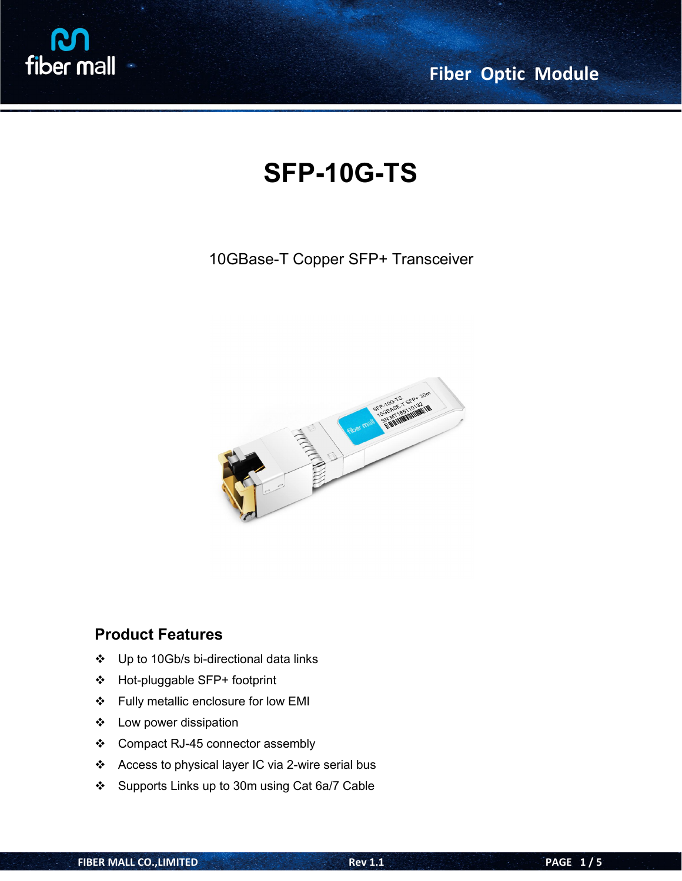

**Fiber Optic Module**

# **SFP-10G-TS**

#### 10GBase-T Copper SFP+ Transceiver



#### **Product Features**

- Up to 10Gb/s bi-directional data links
- Hot-pluggable SFP+ footprint
- Fully metallic enclosure for low EMI
- Low power dissipation
- ❖ Compact RJ-45 connector assembly
- Access to physical layer IC via 2-wire serial bus
- Supports Links up to 30m using Cat 6a/7 Cable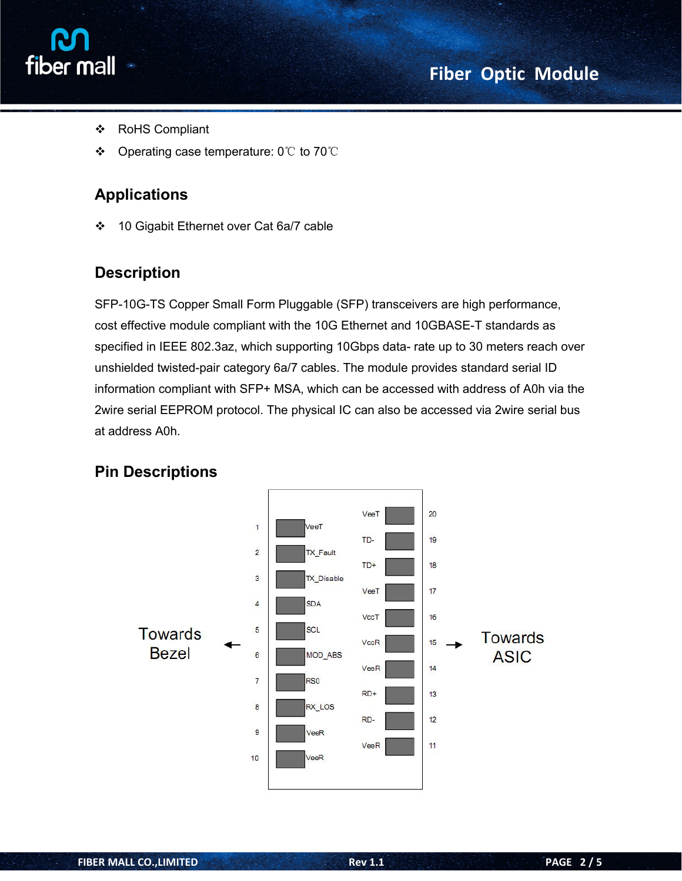



- RoHS Compliant
- Operating case temperature: 0℃ to 70℃

### **Applications**

❖ 10 Gigabit Ethernet over Cat 6a/7 cable

#### **Description**

SFP-10G-TS Copper Small Form Pluggable (SFP) transceivers are high performance, cost effective module compliant with the 10G Ethernet and 10GBASE-T standards as specified in IEEE 802.3az, which supporting 10Gbps data- rate up to 30 meters reach over unshielded twisted-pair category 6a/7 cables. The module provides standard serial ID information compliant with SFP+ MSA, which can be accessed with address of A0h via the 2wire serial EEPROM protocol. The physical IC can also be accessed via 2wire serial bus at address A0h.



#### **Pin Descriptions**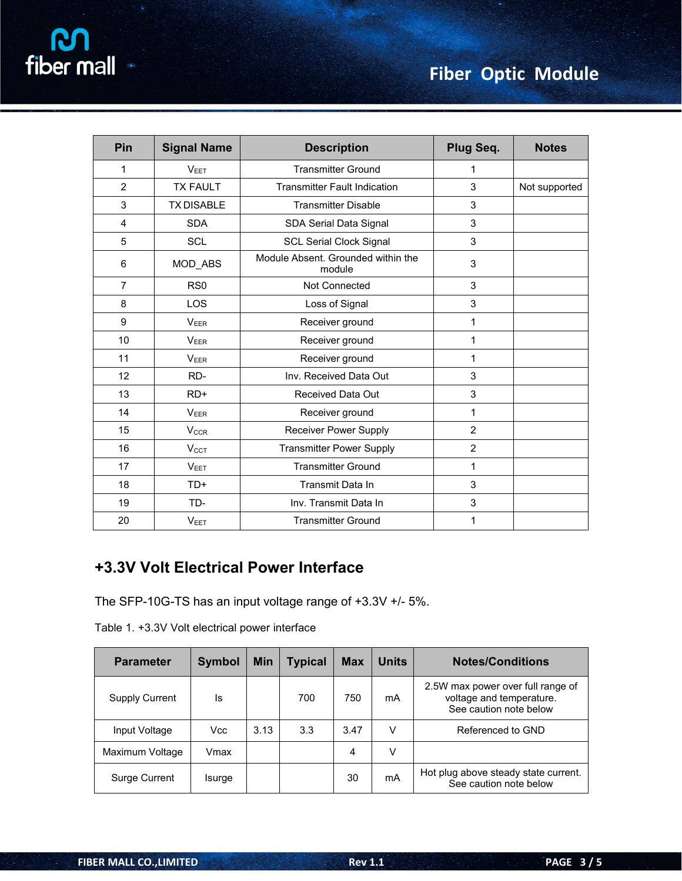| <b>Pin</b>     | <b>Signal Name</b>     | <b>Description</b>                           | Plug Seq.      | <b>Notes</b>  |
|----------------|------------------------|----------------------------------------------|----------------|---------------|
| 1              | V <sub>EET</sub>       | <b>Transmitter Ground</b>                    | 1              |               |
| $\overline{2}$ | <b>TX FAULT</b>        | <b>Transmitter Fault Indication</b>          | 3              | Not supported |
| 3              | <b>TX DISABLE</b>      | <b>Transmitter Disable</b>                   | 3              |               |
| $\overline{4}$ | <b>SDA</b>             | SDA Serial Data Signal                       | 3              |               |
| 5              | <b>SCL</b>             | <b>SCL Serial Clock Signal</b>               | 3              |               |
| 6              | MOD_ABS                | Module Absent. Grounded within the<br>module | 3              |               |
| $\overline{7}$ | RS <sub>0</sub>        | Not Connected                                | 3              |               |
| 8              | <b>LOS</b>             | Loss of Signal                               | 3              |               |
| 9              | <b>VEER</b>            | Receiver ground                              | 1              |               |
| 10             | <b>VEER</b>            | Receiver ground                              | $\mathbf{1}$   |               |
| 11             | <b>VEER</b>            | Receiver ground                              | $\mathbf{1}$   |               |
| 12             | RD-                    | Inv. Received Data Out                       | 3              |               |
| 13             | $RD+$                  | Received Data Out                            | 3              |               |
| 14             | VEER                   | Receiver ground                              | 1              |               |
| 15             | <b>V<sub>CCR</sub></b> | <b>Receiver Power Supply</b>                 | $\overline{2}$ |               |
| 16             | V <sub>CCT</sub>       | <b>Transmitter Power Supply</b>              | $\overline{2}$ |               |
| 17             | V <sub>EET</sub>       | <b>Transmitter Ground</b>                    | 1              |               |
| 18             | TD+                    | Transmit Data In                             | 3              |               |
| 19             | TD-                    | Inv. Transmit Data In                        | 3              |               |
| 20             | $V_{EET}$              | <b>Transmitter Ground</b>                    | 1              |               |

# **+3.3V Volt Electrical Power Interface**

The SFP-10G-TS has an input voltage range of +3.3V +/- 5%.

| Table 1. +3.3V Volt electrical power interface |  |
|------------------------------------------------|--|
|------------------------------------------------|--|

| <b>Parameter</b>      | <b>Symbol</b> | <b>Min</b> | <b>Typical</b> | <b>Max</b> | <b>Units</b> | <b>Notes/Conditions</b>                                                                 |
|-----------------------|---------------|------------|----------------|------------|--------------|-----------------------------------------------------------------------------------------|
| <b>Supply Current</b> | ls            |            | 700            | 750        | mA           | 2.5W max power over full range of<br>voltage and temperature.<br>See caution note below |
| Input Voltage         | Vcc           | 3.13       | 3.3            | 3.47       | V            | Referenced to GND                                                                       |
| Maximum Voltage       | Vmax          |            |                | 4          | V            |                                                                                         |
| Surge Current         | Isurge        |            |                | 30         | mA           | Hot plug above steady state current.<br>See caution note below                          |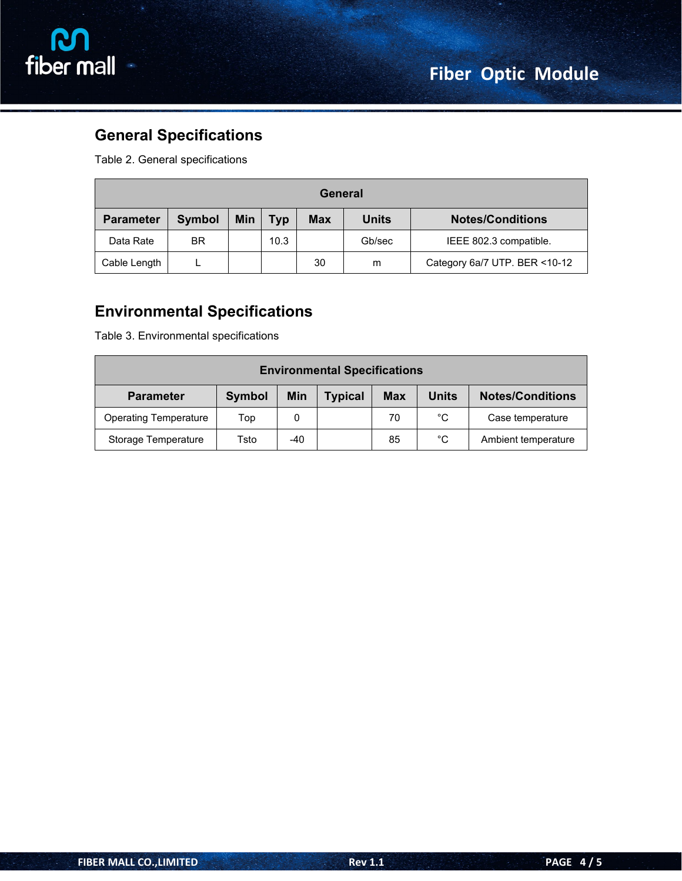



# **General Specifications**

Table 2. General specifications

| General          |               |            |            |            |              |                               |
|------------------|---------------|------------|------------|------------|--------------|-------------------------------|
| <b>Parameter</b> | <b>Symbol</b> | <b>Min</b> | <b>Typ</b> | <b>Max</b> | <b>Units</b> | <b>Notes/Conditions</b>       |
| Data Rate        | <b>BR</b>     |            | 10.3       |            | Gb/sec       | IEEE 802.3 compatible.        |
| Cable Length     |               |            |            | 30         | m            | Category 6a/7 UTP. BER <10-12 |

#### **Environmental Specifications**

Table 3. Environmental specifications

| <b>Environmental Specifications</b> |               |     |                |            |              |                         |  |
|-------------------------------------|---------------|-----|----------------|------------|--------------|-------------------------|--|
| <b>Parameter</b>                    | <b>Symbol</b> | Min | <b>Typical</b> | <b>Max</b> | <b>Units</b> | <b>Notes/Conditions</b> |  |
| <b>Operating Temperature</b>        | Top           | 0   |                | 70         | $^{\circ}$ C | Case temperature        |  |
| Storage Temperature                 | Tsto          | -40 |                | 85         | °C           | Ambient temperature     |  |